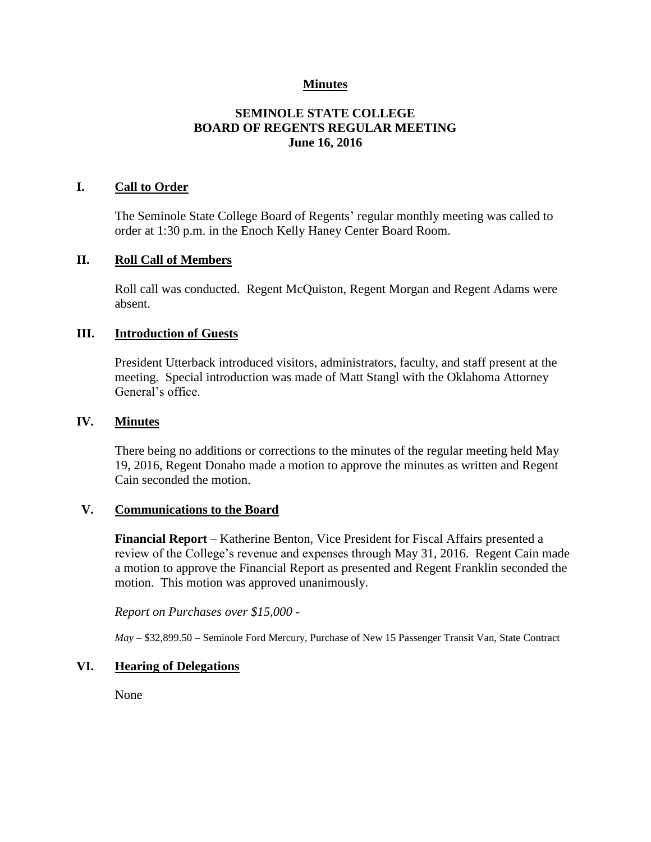## **Minutes**

## **SEMINOLE STATE COLLEGE BOARD OF REGENTS REGULAR MEETING June 16, 2016**

## **I. Call to Order**

The Seminole State College Board of Regents' regular monthly meeting was called to order at 1:30 p.m. in the Enoch Kelly Haney Center Board Room.

#### **II. Roll Call of Members**

Roll call was conducted. Regent McQuiston, Regent Morgan and Regent Adams were absent.

#### **III. Introduction of Guests**

President Utterback introduced visitors, administrators, faculty, and staff present at the meeting. Special introduction was made of Matt Stangl with the Oklahoma Attorney General's office.

#### **IV. Minutes**

There being no additions or corrections to the minutes of the regular meeting held May 19, 2016, Regent Donaho made a motion to approve the minutes as written and Regent Cain seconded the motion.

#### **V. Communications to the Board**

**Financial Report** – Katherine Benton, Vice President for Fiscal Affairs presented a review of the College's revenue and expenses through May 31, 2016. Regent Cain made a motion to approve the Financial Report as presented and Regent Franklin seconded the motion. This motion was approved unanimously.

*Report on Purchases over \$15,000 -*

*May –* \$32,899.50 – Seminole Ford Mercury, Purchase of New 15 Passenger Transit Van, State Contract

## **VI. Hearing of Delegations**

None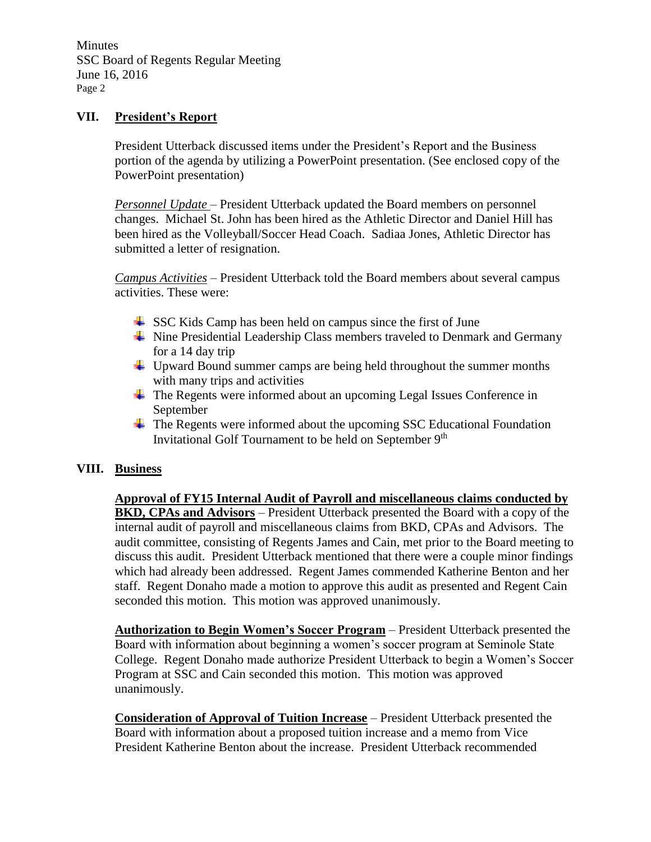**Minutes** SSC Board of Regents Regular Meeting June 16, 2016 Page 2

## **VII. President's Report**

President Utterback discussed items under the President's Report and the Business portion of the agenda by utilizing a PowerPoint presentation. (See enclosed copy of the PowerPoint presentation)

*Personnel Update* – President Utterback updated the Board members on personnel changes. Michael St. John has been hired as the Athletic Director and Daniel Hill has been hired as the Volleyball/Soccer Head Coach. Sadiaa Jones, Athletic Director has submitted a letter of resignation.

*Campus Activities* – President Utterback told the Board members about several campus activities. These were:

- $\frac{1}{2}$  SSC Kids Camp has been held on campus since the first of June
- $\overline{\phantom{a}}$  Nine Presidential Leadership Class members traveled to Denmark and Germany for a 14 day trip
- $\downarrow$  Upward Bound summer camps are being held throughout the summer months with many trips and activities
- $\overline{\phantom{a}}$  The Regents were informed about an upcoming Legal Issues Conference in September
- The Regents were informed about the upcoming SSC Educational Foundation Invitational Golf Tournament to be held on September 9<sup>th</sup>

## **VIII. Business**

**Approval of FY15 Internal Audit of Payroll and miscellaneous claims conducted by BKD, CPAs and Advisors** – President Utterback presented the Board with a copy of the internal audit of payroll and miscellaneous claims from BKD, CPAs and Advisors. The audit committee, consisting of Regents James and Cain, met prior to the Board meeting to discuss this audit. President Utterback mentioned that there were a couple minor findings which had already been addressed. Regent James commended Katherine Benton and her staff. Regent Donaho made a motion to approve this audit as presented and Regent Cain seconded this motion. This motion was approved unanimously.

**Authorization to Begin Women's Soccer Program** – President Utterback presented the Board with information about beginning a women's soccer program at Seminole State College. Regent Donaho made authorize President Utterback to begin a Women's Soccer Program at SSC and Cain seconded this motion. This motion was approved unanimously.

**Consideration of Approval of Tuition Increase** – President Utterback presented the Board with information about a proposed tuition increase and a memo from Vice President Katherine Benton about the increase. President Utterback recommended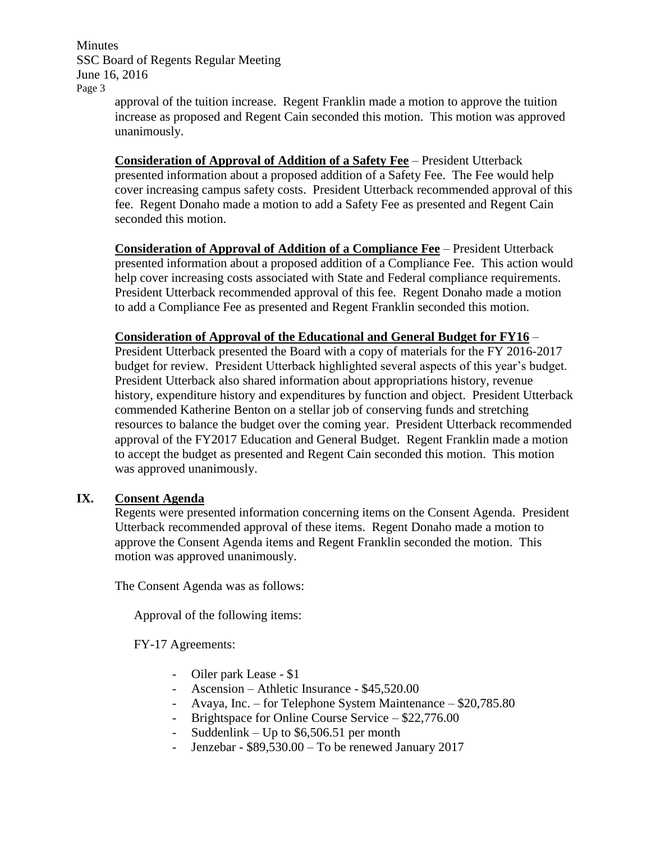**Minutes** SSC Board of Regents Regular Meeting June 16, 2016 Page 3

approval of the tuition increase. Regent Franklin made a motion to approve the tuition increase as proposed and Regent Cain seconded this motion. This motion was approved unanimously.

**Consideration of Approval of Addition of a Safety Fee** – President Utterback presented information about a proposed addition of a Safety Fee. The Fee would help cover increasing campus safety costs. President Utterback recommended approval of this fee. Regent Donaho made a motion to add a Safety Fee as presented and Regent Cain seconded this motion.

**Consideration of Approval of Addition of a Compliance Fee** – President Utterback presented information about a proposed addition of a Compliance Fee. This action would help cover increasing costs associated with State and Federal compliance requirements. President Utterback recommended approval of this fee. Regent Donaho made a motion to add a Compliance Fee as presented and Regent Franklin seconded this motion.

**Consideration of Approval of the Educational and General Budget for FY16** – President Utterback presented the Board with a copy of materials for the FY 2016-2017 budget for review. President Utterback highlighted several aspects of this year's budget. President Utterback also shared information about appropriations history, revenue history, expenditure history and expenditures by function and object. President Utterback commended Katherine Benton on a stellar job of conserving funds and stretching resources to balance the budget over the coming year. President Utterback recommended approval of the FY2017 Education and General Budget. Regent Franklin made a motion to accept the budget as presented and Regent Cain seconded this motion. This motion was approved unanimously.

## **IX. Consent Agenda**

Regents were presented information concerning items on the Consent Agenda. President Utterback recommended approval of these items. Regent Donaho made a motion to approve the Consent Agenda items and Regent Franklin seconded the motion. This motion was approved unanimously.

The Consent Agenda was as follows:

Approval of the following items:

FY-17 Agreements:

- Oiler park Lease \$1
- Ascension Athletic Insurance \$45,520.00
- Avaya, Inc. for Telephone System Maintenance \$20,785.80
- Brightspace for Online Course Service \$22,776.00
- Suddenlink Up to \$6,506.51 per month
- Jenzebar \$89,530.00 To be renewed January 2017